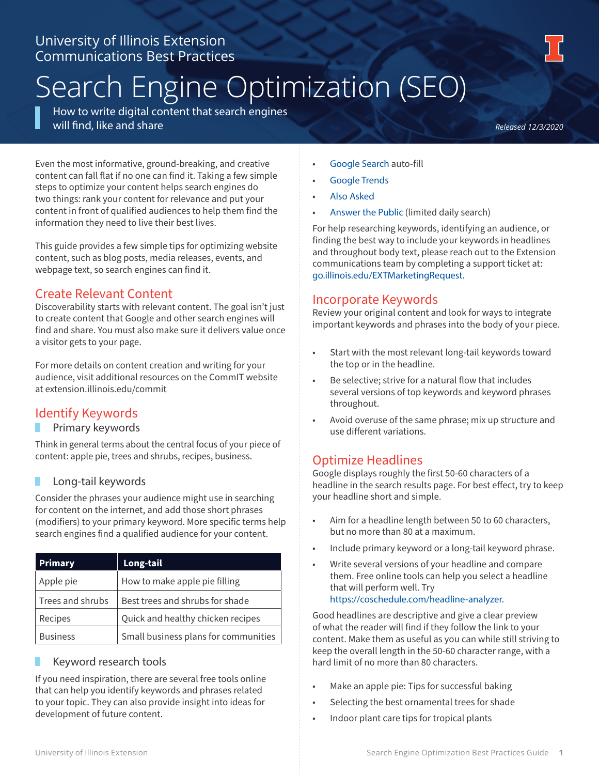# University of Illinois Extension Communications Best Practices

# Search Engine Optimization (SEO)

How to write digital content that search engines will find, like and share

*Released 12/3/2020*

Even the most informative, ground-breaking, and creative content can fall flat if no one can find it. Taking a few simple steps to optimize your content helps search engines do two things: rank your content for relevance and put your content in front of qualified audiences to help them find the information they need to live their best lives.

This guide provides a few simple tips for optimizing website content, such as blog posts, media releases, events, and webpage text, so search engines can find it.

## Create Relevant Content

Discoverability starts with relevant content. The goal isn't just to create content that Google and other search engines will find and share. You must also make sure it delivers value once a visitor gets to your page.

For more details on content creation and writing for your audience, visit additional resources on the CommIT website at extension.illinois.edu/commit

# Identify Keywords

#### Primary keywords

Think in general terms about the central focus of your piece of content: apple pie, trees and shrubs, recipes, business.

#### Long-tail keywords

Consider the phrases your audience might use in searching for content on the internet, and add those short phrases (modifiers) to your primary keyword. More specific terms help search engines find a qualified audience for your content.

| <b>Primary</b>   | Long-tail                            |
|------------------|--------------------------------------|
| Apple pie        | How to make apple pie filling        |
| Trees and shrubs | Best trees and shrubs for shade      |
| Recipes          | Quick and healthy chicken recipes    |
| <b>Business</b>  | Small business plans for communities |

#### Keyword research tools

If you need inspiration, there are several free tools online that can help you identify keywords and phrases related to your topic. They can also provide insight into ideas for development of future content.

- Google Search auto-fill
- Google Trends
- Also Asked
- Answer the Public (limited daily search)

For help researching keywords, identifying an audience, or finding the best way to include your keywords in headlines and throughout body text, please reach out to the Extension communications team by completing a support ticket at: go.illinois.edu/EXTMarketingRequest.

### Incorporate Keywords

Review your original content and look for ways to integrate important keywords and phrases into the body of your piece.

- Start with the most relevant long-tail keywords toward the top or in the headline.
- Be selective; strive for a natural flow that includes several versions of top keywords and keyword phrases throughout.
- Avoid overuse of the same phrase; mix up structure and use different variations.

# Optimize Headlines

Google displays roughly the first 50-60 characters of a headline in the search results page. For best effect, try to keep your headline short and simple.

- Aim for a headline length between 50 to 60 characters, but no more than 80 at a maximum.
- Include primary keyword or a long-tail keyword phrase.
- Write several versions of your headline and compare them. Free online tools can help you select a headline that will perform well. Try https://coschedule.com/headline-analyzer.

Good headlines are descriptive and give a clear preview of what the reader will find if they follow the link to your content. Make them as useful as you can while still striving to keep the overall length in the 50-60 character range, with a hard limit of no more than 80 characters.

- Make an apple pie: Tips for successful baking
- Selecting the best ornamental trees for shade
- Indoor plant care tips for tropical plants